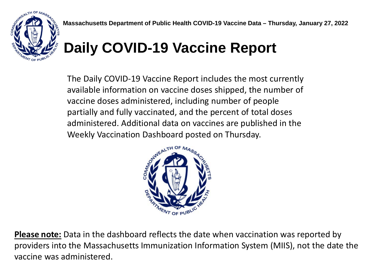

## **Daily COVID-19 Vaccine Report**

The Daily COVID-19 Vaccine Report includes the most currently available information on vaccine doses shipped, the number of vaccine doses administered, including number of people partially and fully vaccinated, and the percent of total doses administered. Additional data on vaccines are published in the Weekly Vaccination Dashboard posted on Thursday.



**Please note:** Data in the dashboard reflects the date when vaccination was reported by providers into the Massachusetts Immunization Information System (MIIS), not the date the vaccine was administered.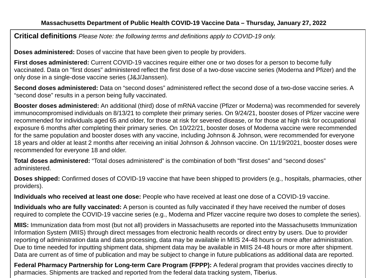**Critical definitions** *Please Note: the following terms and definitions apply to COVID-19 only.*

**Doses administered:** Doses of vaccine that have been given to people by providers.

**First doses administered:** Current COVID-19 vaccines require either one or two doses for a person to become fully vaccinated. Data on "first doses" administered reflect the first dose of a two-dose vaccine series (Moderna and Pfizer) and the only dose in a single-dose vaccine series (J&J/Janssen).

**Second doses administered:** Data on "second doses" administered reflect the second dose of a two-dose vaccine series. A "second dose" results in a person being fully vaccinated.

**Booster doses administered:** An additional (third) dose of mRNA vaccine (Pfizer or Moderna) was recommended for severely immunocompromised individuals on 8/13/21 to complete their primary series. On 9/24/21, booster doses of Pfizer vaccine were recommended for individuals aged 65 and older, for those at risk for severed disease, or for those at high risk for occupational exposure 6 months after completing their primary series. On 10/22/21, booster doses of Moderna vaccine were recommended for the same population and booster doses with any vaccine, including Johnson & Johnson, were recommended for everyone 18 years and older at least 2 months after receiving an initial Johnson & Johnson vaccine. On 11/19/2021, booster doses were recommended for everyone 18 and older.

**Total doses administered:** "Total doses administered" is the combination of both "first doses" and "second doses" administered.

**Doses shipped:** Confirmed doses of COVID-19 vaccine that have been shipped to providers (e.g., hospitals, pharmacies, other providers).

**Individuals who received at least one dose:** People who have received at least one dose of a COVID-19 vaccine.

**Individuals who are fully vaccinated:** A person is counted as fully vaccinated if they have received the number of doses required to complete the COVID-19 vaccine series (e.g., Moderna and Pfizer vaccine require two doses to complete the series).

**MIIS:** Immunization data from most (but not all) providers in Massachusetts are reported into the Massachusetts Immunization Information System (MIIS) through direct messages from electronic health records or direct entry by users. Due to provider reporting of administration data and data processing, data may be available in MIIS 24-48 hours or more after administration. Due to time needed for inputting shipment data, shipment data may be available in MIIS 24-48 hours or more after shipment. Data are current as of time of publication and may be subject to change in future publications as additional data are reported.

**Federal Pharmacy Partnership for Long-term Care Program (FPPP):** A federal program that provides vaccines directly to pharmacies. Shipments are tracked and reported from the federal data tracking system, Tiberius.